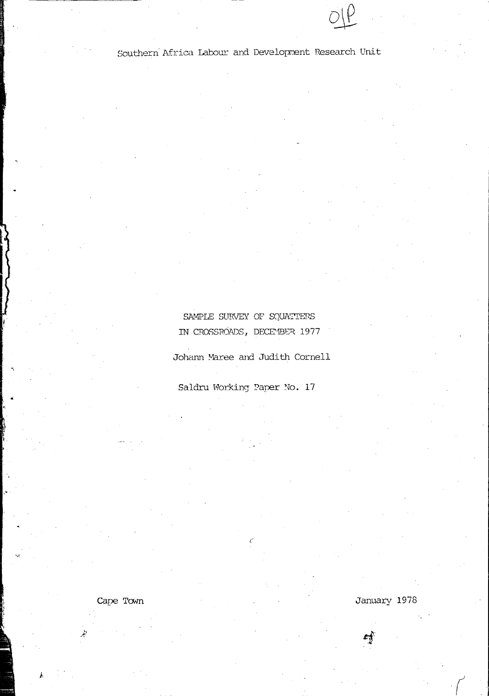# Southern Africa Labour and Development Research Unit

SAMPLE SURVEY OF SQUATTERS IN CROSSROADS, DECEMBER 1977

Johann Maree and Judith Cornell

Saldru Working Paper No. 17

Cape Town

January 1978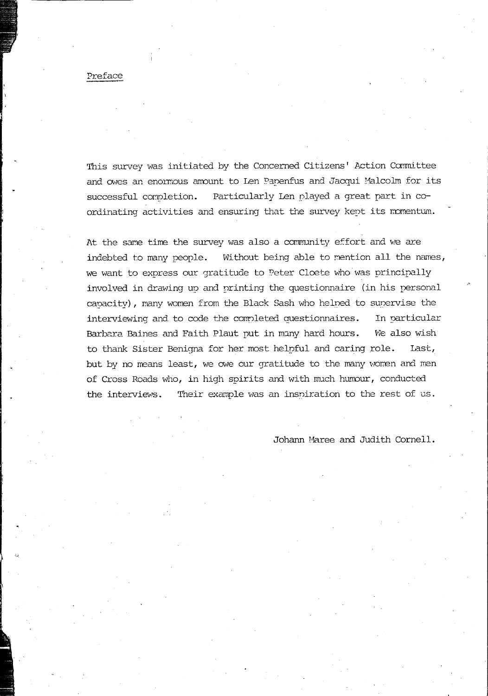### Preface

This survey was initiated by the Concerned Citizens' Action Committee and owes an enormous amount to Len Papenfus and Jacqui Malcolm for its Particularly Len played a great part in cosuccessful completion. ordinating activities and ensuring that the survey kept its momentum.

At the same time the survey was also a community effort and we are indebted to many people. Without being able to mention all the names, we want to express our gratitude to Peter Cloete who was principally involved in drawing up and printing the questionnaire (in his personal capacity), many women from the Black Sash who helped to supervise the interviewing and to code the completed questionnaires. In particular Barbara Baines and Faith Plaut put in many hard hours. We also wish to thank Sister Benigna for her most helpful and caring role. Last, but by no means least, we owe our gratitude to the many women and men of Cross Roads who, in high spirits and with much humour, conducted Their example was an inspiration to the rest of us. the interviews.

Johann Maree and Judith Cornell.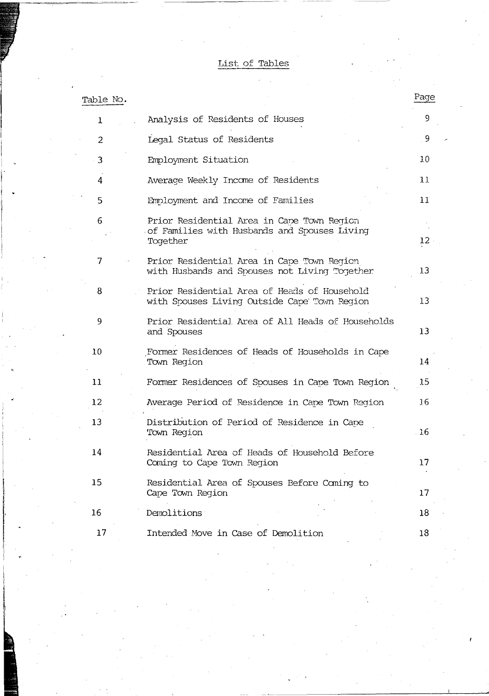# List. of Tables

| Table No.    |                                                                                                        | Page       |
|--------------|--------------------------------------------------------------------------------------------------------|------------|
| $\mathbf{I}$ | Analysis of Residents of Houses                                                                        | 9          |
| 2            | Legal Status of Residents                                                                              | 9          |
| 3            | Employment Situation                                                                                   | 10         |
| 4            | Average Weekly Income of Residents                                                                     | 11         |
| 5            | Employment and Income of Families                                                                      | 11         |
| 6            | Prior Residential Area in Cape Town Region<br>of Families with Husbands and Spouses Living<br>Together | 12         |
| 7            | Prior Residential Area in Cape Town Region<br>with Husbands and Spouses not Living Together            | 13         |
| 8            | Prior Residential Area of Heads of Household<br>with Spouses Living Outside Cape Town Region           | 13         |
| 9            | Prior Residential Area of All Heads of Households<br>and Spouses                                       | 13         |
| 10           | Former Residences of Heads of Households in Cape<br>Town Region                                        | 14         |
| 11           | Former Residences of Spouses in Cape Town Region                                                       | 15         |
| 12           | Average Period of Residence in Cape Town Region                                                        | 16         |
| 13           | Distribution of Period of Residence in Cape<br>Town Region                                             | $\cdot$ 16 |
| 14           | Residential Area of Heads of Household Before.<br>Coming to Cape Town Region                           | 17         |
| 15           | Residential Area of Spouses Before Coming to<br>Cape Town Region                                       | 17         |
| 16           | Demolitions                                                                                            | 18         |
| 17           | Intended Move in Case of Demolition                                                                    | 18         |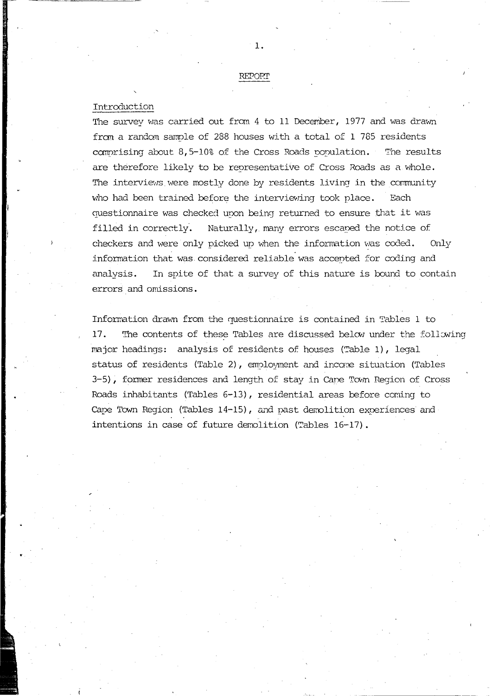# REPOrT

1.

### Introduction

The survey was carried out from 4 to 11 December, 1977 and was drawn from a random sample of 288 houses with a total of 1 785 residents comprising about  $8,5-10$ % of the Cross Roads population. The results are therefore likely to be representative of Cross Roads as a whole. The interviews were mostly done by residents living in the community who had been trained before the interviewing took place. Each questionnaire was checked upon being returned to ensure that it was filled in correctly. Naturally, many errors escaned the notice of checkers and were only picked up when the information was coded. Only information that was considered reliable was accented for coding and analysis. In spite of that a survey of this nature is bound to contain errors and omissions.

Information drawn from the questionnaire is contained in Tables 1 to 17. The contents of these Tables are discussed below under the following major headings: analysis of residents of houses (Table 1), legal status of residents (Table 2), employment and income situation (Tables 3-5), former residences and length of stay in Cape Town Region of Cross Roads inhabitants (Tables  $6-13$ ), residential areas before coming to Cape Town Region (Tables  $14-15$ ), and past demolition experiences and intentions in case of future demolition (Tables 16-17).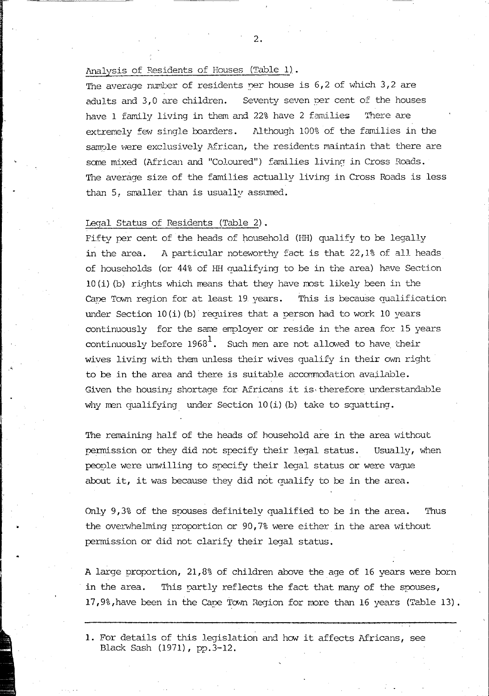## Analysis of Residents of Houses (Table 1).

The average number of residents per house is 6,2 of which 3,2 are adults and 3,0 are children. Seventy seven per cent of the houses have 1 family living in them and 22% have 2 families There are extremely few single boarders. Although 100% of the families in the sample were exclusively African, the residents maintain that there are some mixed (African and "Coloured") families living in Cross Roads. The average size of the families actually living in Cross Roads is less than 5, smaller than is usually assumed.

### Legal Status of Residents (Table 2).

Fifty per cent of the heads of household (HH) qualify to be legally A particular noteworthy fact is that 22,1% of all heads in the area. of households (or 44% of HH qualifying to be in the area) have Section 10(i) (b) rights which means that they have most likely been in the Cape Town region for at least 19 years. This is because qualification under Section  $10(i)$  (b) requires that a person had to work 10 years continuously for the same employer or reside in the area for 15 years continuously before  $1968<sup>1</sup>$ . Such men are not allowed to have their wives living with them unless their wives qualify in their own right to be in the area and there is suitable accommodation available. Given the housing shortage for Africans it is therefore understandable why men qualifying under Section 10(i) (b) take to squatting.

The remaining half of the heads of household are in the area without permission or they did not specify their legal status. Usually, when people were unwilling to specify their legal status or were vaque about it, it was because they did not qualify to be in the area.

Only 9,3% of the spouses definitely qualified to be in the area. Thus the overwhelming proportion or 90,7% were either in the area without permission or did not clarify their legal status.

A large proportion, 21,8% of children above the age of 16 years were born This partly reflects the fact that many of the spouses, in the area. 17,9%, have been in the Cape Town Region for more than 16 years (Table 13).

<sup>1.</sup> For details of this legislation and how it affects Africans, see Black Sash (1971), pp.3-12.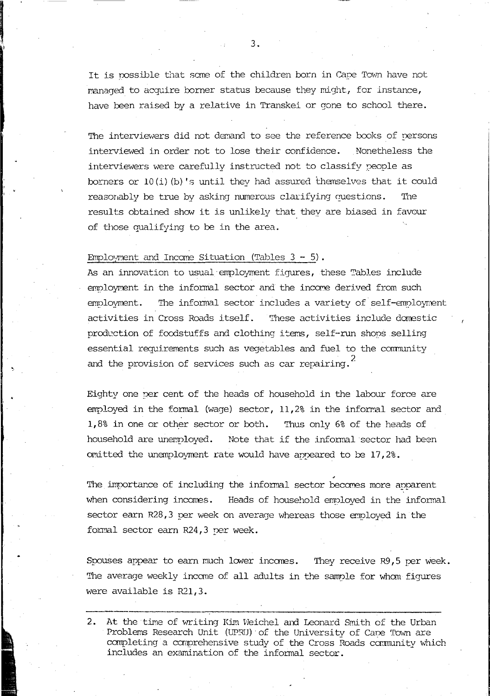It is possible that some of the children born in Cape Town have not managed to acquire borner status because they might, for instance, have been raised by a relative in Transkei or gone to school there.

The interviewers did not demand to see the reference books of persons interviewed in order not to lose their confidence. Nonetheless the interviewers were carefully instructed not to classify people as borners or  $10(i)$  (b)'s until they had assured themselves that it could reasonably be true by asking numerous clarifying questions. The results obtained show it is unlikely that they are biased in favour of those qualifying to be in the area.

### Employment and Income Situation (Tables  $3 - 5$ ).

As an innovation to usual employment figures, these Tables include employment in the informal sector and the income derived from such The informal sector includes a variety of self-employment employment. activities in Cross Roads itself. These activities include domestic production of foodstuffs and clothing items, self-run shops selling essential requirements such as vegetables and fuel to the community and the provision of services such as car repairing.<sup>2</sup>

Eighty one per cent of the heads of household in the labour force are employed in the formal (wage) sector, 11,2% in the informal sector and 1,8% in one or other sector or both. Thus only 6% of the heads of Note that if the informal sector had been household are unemployed. omitted the unemployment rate would have appeared to be 17,2%.

The importance of including the informal sector becomes more apparent when considering incomes. Heads of household employed in the informal sector earn R28,3 per week on average whereas those employed in the formal sector earn R24,3 per week.

Spouses appear to earn much lower incomes. They receive R9,5 per week. The average weekly income of all adults in the sample for whom figures were available is R21.3.

 $2.$ At the time of writing Kim Weichel and Leonard Smith of the Urban Problems Research Unit (UPRU) of the University of Cape Town are completing a comprehensive study of the Cross Roads community which includes an examination of the informal sector.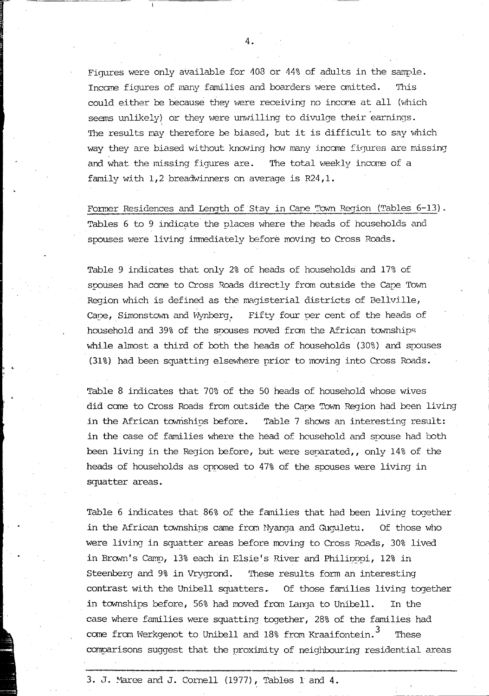Figures were only available for 408 or 44% of adults in the sample. Incane figures of many families and boarders were emitted. 'Ihis could either be because they were receiving no income at all (which seems unlikely) or they were unwilling to divulge their earnings. The results may therefore be biased, but it is difficult to say which way they are biased without knowing how many income figures are missing and what the missing figures are. The total weekly income of a family with 1,2 breadwinners on average is R24,1.

Former Residences and Length of Stay in Cape ":.. Region ("ables 6-13). Tables 6 to 9 indicate the places where the heads of households and spouses were living imnediately before moving to Cross Roads.

Table 9 indicates that only 2% of heads of households and 17% of spouses had come to Cross Roads directly from outside the Cape Town Region which is defined as the magisterial districts of Bellville, Cane, Simonstown and Wynberg. Fifty four per cent of the heads of household and 39% of the snouses moved from the African townships while almost a third of both the heads of households (30%) and spouses (31%) had been squatting elsewhere prior to moving into Cross Roads.

Table 8 indicates that 70% of the 50 heads of household whose wives did came to Cross Roads from outside the Cane Town Region had been living in the African townships before. Table 7 shows an interesting result: in the case of families where the head of household and spouse had both been living in the Region before, but were separated,, only 14% of the heads of households as opposed to 47% of the spouses were living in squatter areas.

Table 6 indicates that 86% of the families that had been living together in the African townships came from Nyanga and Guguletu. Of those who were living in squatter areas before moving to Cross Roads, 30% lived in Brown's Camp, 13% each in Elsie's River and Philipopi, 12% in Steenberg and 9% in Vrygrond. These results form an interesting contrast with the Unibell squatters.. Of those fanilies living together in townships before, 56% had moved from Langa to Unibell. In the case where families were squatting together, 28% of the families had come from Werkgenot to Unibell and 18% from Kraaifontein.<sup>3</sup> These comoarisons suggest that the proximity of neighbouring residential areas

~,

4.

1-------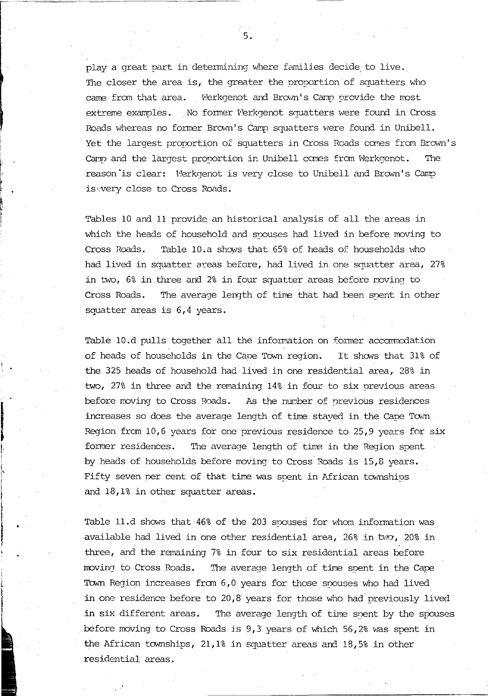play a great part in determining where families decide to live. The closer the area is, the greater the proportion of squatters who came from that area. Werkgenot and Brown's Camp provide the most extreme examples. No former Werkgenot squatters were found in Cross Roads whereas no former Brown's Camp squatters were found in Unibell. Yet the largest proportion of squatters in Cross Roads comes from Brown's Camp and the largest provortion in Unibell comes from Werkgenot. The reason is clear: Werkgenot is very close to Unibell and Brown's Camp iswery close to Cross Roads.

Tables 10 and 11 provide an historical analysis of all the areas in which the heads of household and spouses had lived in before moving to Cross Roads. Table 10.a shows that 65% of heads of households who had lived in squatter areas before, had lived in one squatter area, 27% in two, 6% in three and 2% in four squatter areas before moving to Cross Roads. The average length of time that had been spent in other squatter areas is 6,4 years.

Table 10.d pulls together all the information on former accommodation of heads of households in the Cape Town region. It shows that 31% of the 325 heads of household had lived in one residential area, 28% in two, 27% in three and the remaining 14% in four to six previous areas before moving to Cross Roads. As the number of previous residences increases so does the average length of time stayed in the Cape Town Region from 10,6 years for one previous residence to 25,9 years for six former residences. The average length of time in the Region spent by heads of households before moving to Cross Roads is 15,8 years. Fifty seven per cent of that time was spent in African townships and 18,1% in other squatter areas.

Table 11.d shows that 46% of the 203 spouses for whom information was available had lived in one other residential area, 26% in two, 20% in three, and the remaining 7% in four to six residential areas before moving to Cross Roads. The average length of time spent in the Cape Town Region increases from 6,0 years for those spouses who had lived in one residence before to  $20,8$  years for those who had previously lived in six different areas. The average length of time spent by the spouses before moving to Cross Roads is 9,3 years of which 56,2% was spent in the African townships, 21,1% in squatter areas and 18,5% in other residential areas.

 $5.$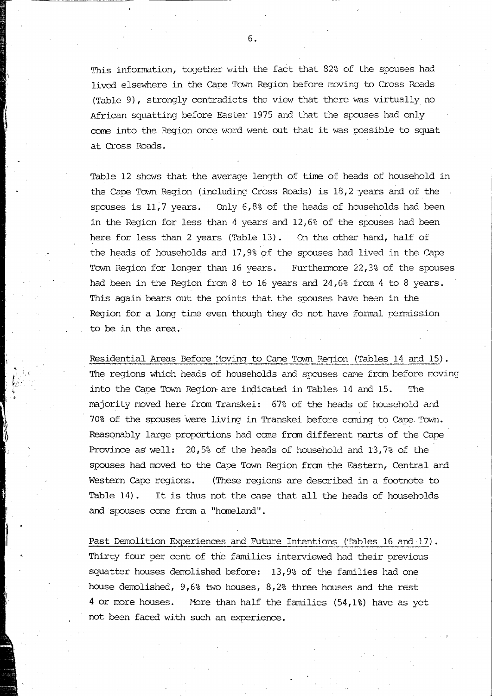"his information, together with the fact that 82% of the spouses had lived elsewhere in the Cape Town Region before moving to Cross Roads  $(Table 9)$ , strongly contradicts the view that there was virtually no African squatting before Easter 1975 and that the spouses had only come into the Region once word went out that it was possible to squat at Cross Roads.

Table 12 shows that the average length of time of heads of household in the Cape Town Region (including Cross Roads) is 18,2 years and of the spouses is 11,7 years. Only 6,8% of the heads of households had been in the Region for less than  $4$  years and  $12,68$  of the spouses had been here for less than 2 years (Table 13). On the other hand, half of the heads of households and 17,9% of the spouses had lived in the Cape Town Region for longer than 16 years. Furthermore 22,3% of the spouses had been in the Region from 8 to 16 years and 24,6% from 4 to 8 years. This again bears out the points that the spouses have been in the Region for a long time even though they do not have formal permission to be in the area.

Residential Areas Before Moving to Cane Town Region (Tables 14 and 15). The regions which heads of households and spouses came from before moving into the Cape Town Region- are indicated in Tables 14 and 15. The majority moved here from Transkei: 67% of the heads of household ard 70% of the spouses were living in Transkei before coming to Cape, Town. Reasonably large proportions had come from different narts of the Cape Province as' well: 20,5% of the heads of household and 13,7% of the spouses had moved to the Cape Town Region from the Eastern, Central and Western Cape regions. (These regions are described in a footnote to Table  $14$ ). It is thus not the case that all the heads of households and spouses cone from a "homeland".

Past Demolition Experiences and Future Intentions (Tables 16 and 17). Thirty four per cent of the families interviewed had their previous squatter houses demolished before: 13,9% of the families had one house demolished,  $9,6\$  two houses,  $8,2\$  three houses and the rest 4 or more houses. Hore than half the families (54,1%) have as yet not been faced with such an experience.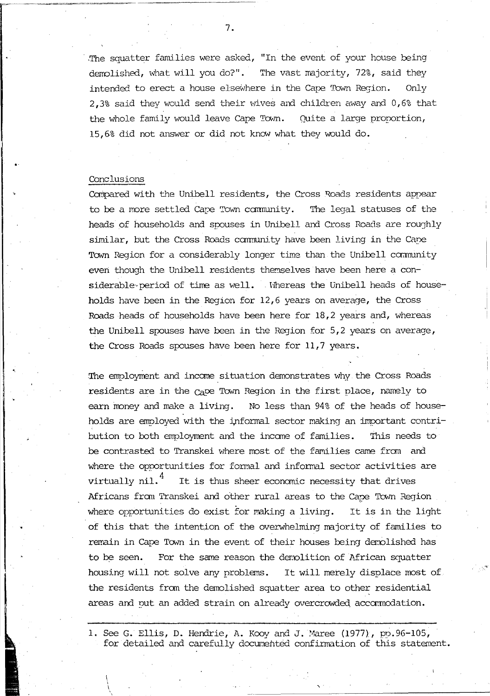The squatter families were asked, "In the event of your house being demolished, what will you do?". The vast majority, 72%, said they intended to erect a house elsewhere in the Cape Town Region. Only 2,3% said they would send their wives and children away and 0,6% that the whole family would leave Cape Town. Quite a large proportion, 15,6% did not answer or did not know what they would do.

### Conclusions

Compared with the Unibell residents, the Cross Roads residents appear to be a more settled Cape Town community. The legal statuses of the heads of households and spouses in Unibell and Cross Roads are roughly similar, but the Cross Roads community have been living in the Cape Town Region for a considerably longer time than the Unibell community even though the Unibell residents themselves have been here a considerable period of time as well. Whereas the Unibell heads of households have been in the Region for 12,6 years on average, the Cross Roads heads of households have been here for 18,2 years and, whereas the Unibell spouses have been in the Region for 5,2 years on average, the Cross Roads spouses have been here for 11,7 years.

The employment and income situation demonstrates why the Cross Roads residents are in the  $C_0$  pe Town Region in the first place, namely to earn money and make a living. No less than 94% of the heads of households are employed with the informal sector making an important contribution to both employment and the income of families. This needs to be contrasted to Transkei where most of the families came from and where the opportunities for formal and informal sector activities are virtually  $\text{nil.}^4$ It is thus sheer economic necessity that drives Africans from Transkei and other rural areas to the Cape Town Region It is in the light where opportunities do exist for making a living. of this that the intention of the overwhelming majority of families to remain in Cape Town in the event of their houses being demolished has For the same reason the demolition of African squatter to be seen. housing will not solve any problems. It will merely displace most of the residents from the demolished squatter area to other residential areas and put an added strain on already overcrowded accommodation.

1. See G. Ellis, D. Hendrie, A. Kooy and J. Maree (1977), pp. 96-105, for detailed and carefully documented confirmation of this statement.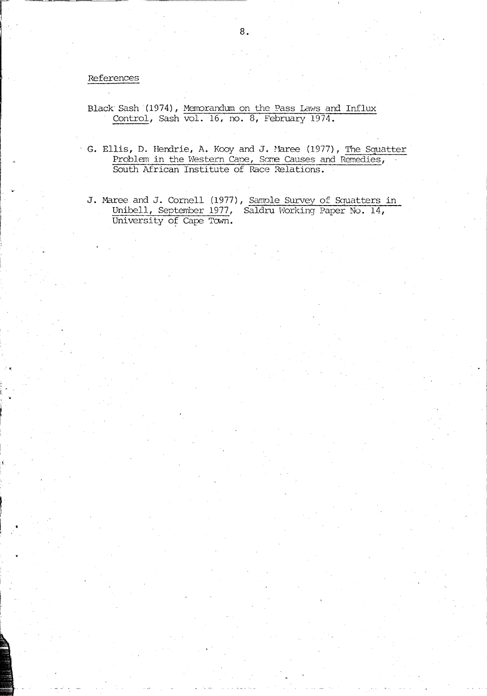### References

- Black Sash (1974), Memorandum on the Pass Laws and Influx Control, Sash vol. 16, no. 8, February 1974.
- G. Ellis, D. Hendrie, A. Kooy and J. Maree (1977), The Squatter Problem in the Western Cape, Some Causes and Remedies, South African Institute of Race Relations.
- J. Maree and J. Cornell (1977), Sample Survey of Squatters in Unibell, September 1977, Saldru Working Paper No. 14, University of Cape Town.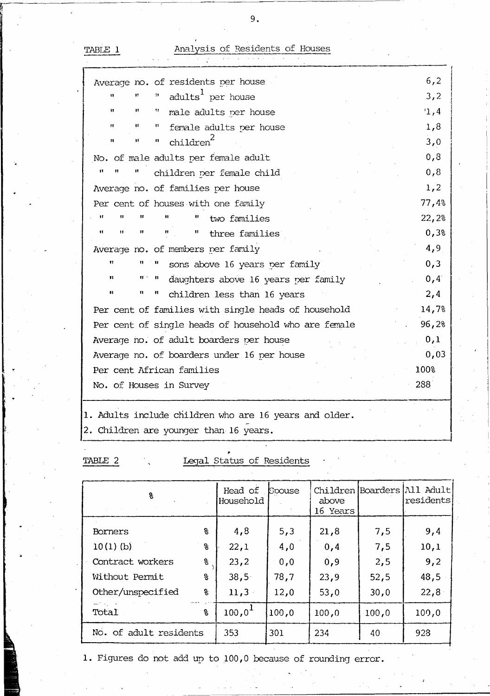Analysis of Residents of Houses

|                         | Average no. of residents per house                   | 6, 2  |
|-------------------------|------------------------------------------------------|-------|
| 11<br>11                | adults <sup>1</sup> per house<br>Ħ                   | 3, 2  |
| Ħ<br>11                 | 71<br>male adults per house                          | 1,4   |
| Ħ<br>11                 | и<br>female adults per house                         | 1,8   |
| Ħ<br>11                 | children <sup>2</sup><br>п                           | 3,0   |
|                         | No. of male adults per female adult                  | 0, 8  |
| 11                      | children per female child                            | 0,8   |
|                         | Average no. of families per house                    | 1,2   |
|                         | Per cent of houses with one family                   | 77,4% |
| 11<br>11                | two families                                         | 22,2% |
| Ħ<br>Ħ<br>П             | Ħ<br>three families                                  | 0,38  |
|                         | Average no. of members ner family                    | 4,9   |
| Ħ<br>n                  | sons above 16 years per family                       | 0, 3  |
| 11<br>$\mathbf{u}$      | -11<br>daughters above 16 years per family           | 0,4   |
| 81<br>$\mathbf{u}$      | π<br>children less than 16 years                     | 2,4   |
|                         | Per cent of families with single heads of household  | 14,7% |
|                         | Per cent of single heads of household who are female | 96,2% |
|                         | Average no. of adult boarders per house              | 0,1   |
|                         | Average no. of boarders under 16 per house           | 0,03  |
|                         | Per cent African families                            | 100%  |
| No. of Houses in Survey |                                                      | 288   |
|                         |                                                      |       |

1. Adults include children who are 16 years and older.

2. Children are younger than  $16$  years.

| TABLE. |  |
|--------|--|
|        |  |

TABLE 1

Legal Status of Residents

| 움                      |    | Head of<br>Household | Spouse | above<br>16 Years |       | Children Boarders All Adult<br>residents |
|------------------------|----|----------------------|--------|-------------------|-------|------------------------------------------|
| Borners                | နွ | 4,8                  | 5,3    | 21,8              | 7,5   | 9,4                                      |
| $10(1)$ (b)            | နွ | 22,1                 | 4,0    | 0,4               | 7,5   | 10,1                                     |
| Contract workers       | 움  | 23,2                 | 0,0    | 0, 9              | 2,5   | 9,2                                      |
| Without Permit         | ႜ  | 38,5                 | 78,7   | 23,9              | 52,5  | 48,5                                     |
| Other/unspecified      | နွ | 11,3                 | 12,0   | 53,0              | 30,0  | 22,8                                     |
| Total                  | နွ | 100,0 <sup>1</sup>   | 100,0  | 100,0             | 100,0 | 100,0                                    |
| No. of adult residents |    | 353                  | 301    | 234               | 40    | 928                                      |

1. Figures do not add up to 100,0 because of rounding error.

 $9$  .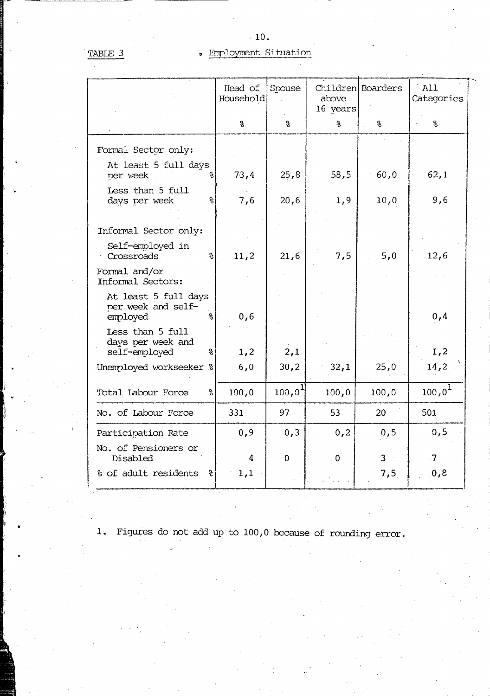# · Employment Situation

|                                                              | Head of<br>Household | Spouse              | Children<br>above<br>16 years | <b>Boarders</b> | All<br>Categories           |
|--------------------------------------------------------------|----------------------|---------------------|-------------------------------|-----------------|-----------------------------|
|                                                              | %                    | န္                  | နွ                            | 웡.              | န္                          |
| Formal Sector only:                                          |                      |                     |                               |                 |                             |
| At least 5 full days<br>g<br>per week                        | 73,4                 | 25,8                | 58,5                          | 60,0            | 62,1                        |
| Less than 5 full<br>နွ<br>days per week                      | 7,6                  | 20,6                | 1,9                           | 10,0            | 9,6                         |
| Informal Sector only:                                        |                      |                     |                               |                 |                             |
| Self-employed in<br>Crossroads<br>န္                         | 11,2                 | 21,6                | 7,5                           | 5,0             | 12,6                        |
| Formal and/or<br>Informal Sectors:                           |                      |                     |                               |                 |                             |
| At least 5 full days<br>per week and self-<br>employed<br>နွ | 0,6                  |                     |                               |                 | 0,4                         |
| Less than 5 full<br>days per week and<br>self-employed<br>웡. | 1,2                  | 2,1                 |                               |                 | 1,2                         |
| Unemployed workseeker &                                      | 6,0                  | 30,2                | 32,1                          | 25,0            | 14,2                        |
| Total Labour Force<br>°္မ                                    | 100,0                | 100, 0 <sup>1</sup> | 100,0                         | 100,0           | $100,0^1$                   |
| No. of Labour Force                                          | 331                  | 97                  | 53                            | 20              | 501                         |
| Participation Rate                                           | 0, 9                 | 0, 3                | 0, 2                          | 0, 5            | 0, 5                        |
| No. of Pensioners or<br>Disabled                             | 4                    | $0^{\circ}$         | $\overline{\mathbf{0}}$       | 3 <sup>1</sup>  | $7_{\scriptscriptstyle{1}}$ |
| % of adult residents<br>နွ                                   | 1,1                  |                     |                               | 7,5             | 0,8                         |
|                                                              |                      |                     |                               |                 |                             |

1. Figures do not add up to 100,0 because of rounding error.

 $\overline{10}$ .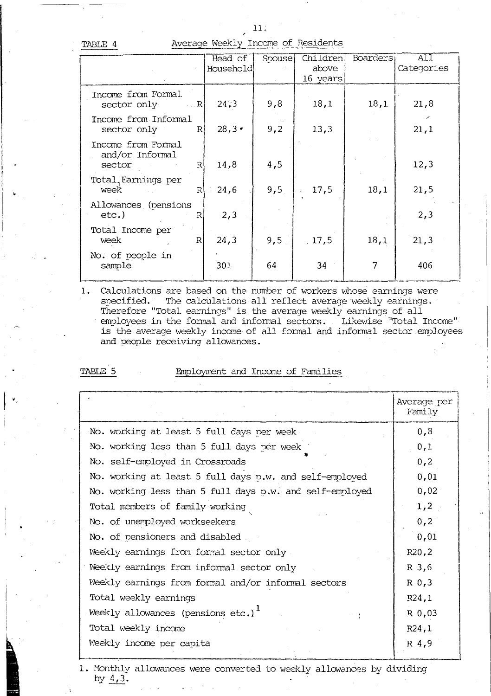| TARIT 4                                         |                           | AVELAGE NEELLY INCOME OF RESIDENCE |        |                               |                 |                   |
|-------------------------------------------------|---------------------------|------------------------------------|--------|-------------------------------|-----------------|-------------------|
|                                                 |                           | Head of<br>Household               | Spouse | Children<br>above<br>16 years | <b>Boarders</b> | All<br>Categories |
| Income from Formal<br>sector only               | $\mathbb{R}$ $\mathbb{R}$ | 2473                               | 9,8    | 18,1                          | 18,1            | 21,8              |
| Income from Informal<br>sector only             | $\mathbb{R}$              | 28,3                               | 9,2    | 13,3                          |                 | 21,1              |
| Income from Formal<br>and/or Informal<br>sector | R                         | 14,8                               | 4,5    |                               |                 | 12,3              |
| Total, Earnings per<br>week                     | R                         | 24,6                               | 9,5    | 17,5                          | 18,1            | 21,5              |
| Allowances (pensions<br>etc.)                   | R                         | 2, 3                               |        |                               |                 | 2,3               |
| Total Income per<br>week                        | R                         | 24,3                               | 9,5    | .17,5                         | 18,1            | 21, 3             |
| No. of people in<br>sample                      |                           | 301                                | 64     | 34                            | 7               | 406               |

 $1.$ Calculations are based on the number of workers whose earnings were specified. The calculations all reflect average weekly earnings. Therefore "Total earnings" is the average weekly earnings of all<br>employees in the formal and informal sectors. Likewise "Total Income" is the average weekly income of all formal and informal sector employees and people receiving allowances.

| TABI E |  |
|--------|--|
|--------|--|

## Employment and Income of Families

|                                                          | Average per<br>Family |
|----------------------------------------------------------|-----------------------|
| No. working at least 5 full days per week                | 0, 3                  |
| No. working less than 5 full days per week               | 0,1                   |
| No. self-employed in Crossroads                          | 0, 2                  |
| No. working at least 5 full days p.w. and self-employed  | 0,01                  |
| No. working less than 5 full days p.w. and self-employed | 0,02                  |
| Total members of family working                          | 1,2                   |
| No. of unemployed workseekers                            | 0, 2                  |
| No. of pensioners and disabled                           | 0,01                  |
| Weekly earnings from formal sector only                  | R20, 2                |
| Weekly earnings from informal sector only                | R <sub>3,6</sub>      |
| Weekly earnings from formal and/or informal sectors      | R <sub>0</sub> , 3    |
| Total weekly earnings                                    | R24,1                 |
| Weekly allowances (pensions $etc.$ ) <sup>1</sup>        | $R$ 0,03              |
| Total weekly income                                      | R24,1                 |
| Weekly income per capita                                 | R <sub>4</sub> , 9    |
|                                                          |                       |

1. Monthly allowances were converted to weekly allowances by dividing by  $4,3$ .

11.

of Residents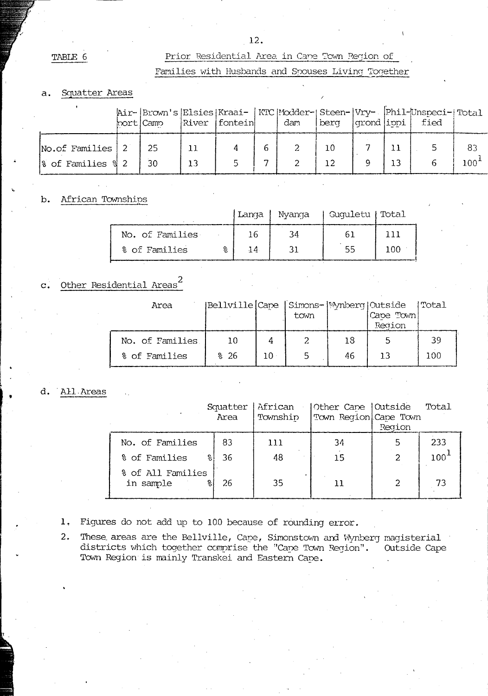## Prior Residential Area in Cape Town Region of

## Families with Husbands and Spouses Living Together

#### Squatter Areas  $a.$

|                       | hort Camp | River [fontein] | dam | l bera | qrond ippi | hir- Brown's Elsies Kraai- KTC Modder- Steen- Vry- Phil-Unspeci- Total<br>fied |           |
|-----------------------|-----------|-----------------|-----|--------|------------|--------------------------------------------------------------------------------|-----------|
|                       |           |                 |     |        |            |                                                                                |           |
| $No. of Families$   2 | -25       |                 |     |        |            |                                                                                | -82       |
| 8 of Families & 2     | 30        |                 |     |        |            |                                                                                | $100^{4}$ |

#### b. African Townships

|                 |        |     | Langa   Nyanga | Guguletu   Total |     |
|-----------------|--------|-----|----------------|------------------|-----|
| No. of Families |        | 16  | 34             | b I.             |     |
| % of Families   | o<br>8 | -14 |                | 55               | 100 |

### Other Residential Areas<sup>2</sup>  $\mathbf{c}$ .

| Area                             | Bellville Cape   Simons-   Mynberg   Outside |     | town |          | Cape Town<br>Region | Total     |
|----------------------------------|----------------------------------------------|-----|------|----------|---------------------|-----------|
| No. of Families<br>% of Families | 10<br>$\frac{8}{6}$ 26                       | 1 N | 5    | 18<br>46 |                     | 39<br>100 |

#### d. All Areas

|                                     | Squatter<br>Area | African<br>Township | Other Cane   Outside<br>Town Region Cape Town |        | Total   |
|-------------------------------------|------------------|---------------------|-----------------------------------------------|--------|---------|
|                                     |                  |                     |                                               | Region |         |
| No. of Families                     | 83               | 111                 | 34                                            |        | 233     |
| % of Families                       | 36               | 48                  | 15                                            |        | $100^+$ |
| % of All Families<br>in sample<br>ዱ | 26               | 35                  |                                               |        | 73      |

- Figures do not add up to 100 because of rounding error.  $1,$
- $2.$ These areas are the Bellville, Cape, Simonstown and Wynberg magisterial districts which together comprise the "Cape Town Region". Outside Cape Town Region is mainly Transkei and Eastern Cape.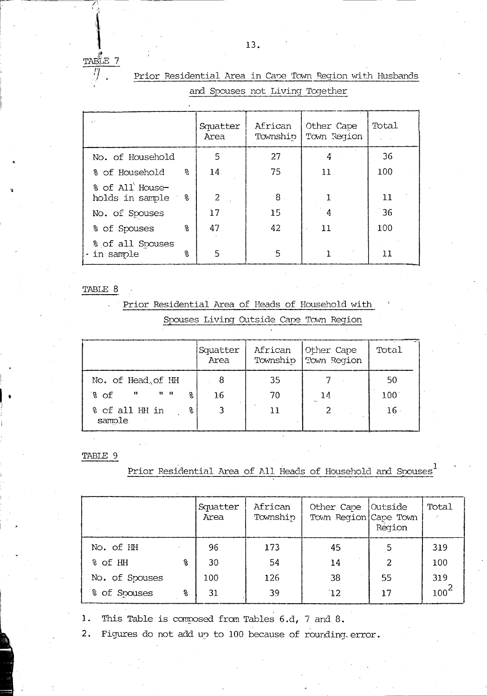Prior Residential Area in Cape Town Region with Husbands and Spouses not Living Together

|                                            | Squatter<br>Area | African<br>Township | Other Cape<br>Town Region | Total |
|--------------------------------------------|------------------|---------------------|---------------------------|-------|
| No. of Household                           | 5                | 27                  |                           | 36    |
| くらい<br>% of Household                      | 14               | 75                  | 11                        | 100   |
| % of All House-<br>ႜႜႜႜ<br>holds in sample | 2                | 8                   |                           | 11    |
| No. of Spouses                             | 17               | 15                  |                           | 36    |
| ş,<br>% of Spouses                         | 47               | 42                  | 11                        | 100   |
| % of all Spouses<br>g<br>· in sample       | 5                | 5                   |                           |       |

TABLE 8

## Prior Residential Area of Heads of Household with

Spouses Living Outside Cape Town Region

|                                                            | Squatter<br>Area | African<br>Township | Other Cape<br>Town Region | Total |
|------------------------------------------------------------|------------------|---------------------|---------------------------|-------|
| No. of Head of HH                                          | 8                | 35                  |                           | 50    |
| $\sim 11$<br>$\mathbf{H}$ and $\mathbf{H}$<br>്ട്. റ£<br>욳 | 16               | 70                  | 14                        | 100   |
| 옹<br>% of all HH in<br>sample                              |                  | 11                  |                           | 16    |

TABLE 9

Prior Residential Area of All Heads of Household and Spouses

|                |    | Squatter<br>Area | African<br>Township | Other Cape<br>Town Region Cape Town | Outside<br>Region | Total   |
|----------------|----|------------------|---------------------|-------------------------------------|-------------------|---------|
| No. of HH      |    | 96               | 173                 | 45                                  |                   | 319     |
| % of HH        | နွ | 30               | 54                  | 14                                  | 2                 | 100     |
| No. of Spouses |    | 100              | 126                 | 38                                  | 55                | 319     |
| % of Spouses   | ·  | 31               | 39                  | 12                                  | 17                | $100^2$ |

This Table is composed from Tables 6.d, 7 and 8.  $1. \,$ 

 $2.$ Figures do not add up to 100 because of rounding error.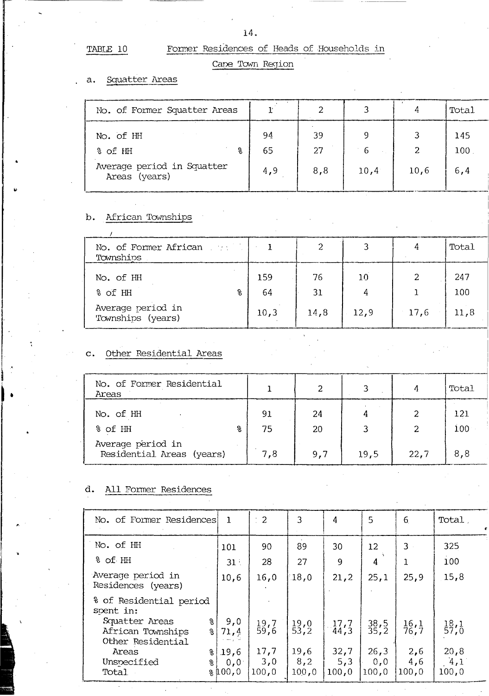# Former Residences of Heads of Households in

## Cape Town Region

## a. Squatter Areas

| No. of Former Squatter Areas                                             |                 | $\mathfrak{D}$  |                  | 4    | Total             |
|--------------------------------------------------------------------------|-----------------|-----------------|------------------|------|-------------------|
| No. of HH<br>႙<br>8 of HH<br>Average period in Squatter<br>Areas (years) | 94<br>65<br>4,9 | 39<br>27<br>8,8 | q<br>- 6<br>10,4 | 10,6 | 145<br>100<br>6,4 |
|                                                                          |                 |                 |                  |      |                   |

#### African Townships b.

| No. of Former African<br>Townships     |           |          |      |      | Total      |
|----------------------------------------|-----------|----------|------|------|------------|
| No. of HH<br>နွ<br>8 of HH             | 159<br>64 | 76<br>31 | 10   |      | 247<br>100 |
| Average period in<br>Townships (years) | 10,3      | 14,8     | 12,9 | 17,6 | 11,8       |

#### Other Residential Areas  $\overline{c}$ .

| No. of Former Residential<br>Areas             |   |          |          |      |      | Total      |
|------------------------------------------------|---|----------|----------|------|------|------------|
| No. of HH<br>% of HH                           | ႙ | 91<br>75 | 24<br>20 |      |      | 121<br>100 |
| Average period in<br>Residential Areas (years) |   | 7,8      | 9,7      | 19,5 | 22,7 | 8,8        |

### All Former Residences d.

ä,

| No. of Former Residences                                             | 1                        | $\therefore$ 2      | 3                   | 4                   | 5                               | 6                   | Total,              |
|----------------------------------------------------------------------|--------------------------|---------------------|---------------------|---------------------|---------------------------------|---------------------|---------------------|
| No. of HH                                                            | 101                      | 90                  | 89                  | 30                  | 12                              | 3                   | 325                 |
| 8 of HH                                                              | 31 <sup>1</sup>          | 28                  | 27                  | 9                   | 4                               |                     | 100                 |
| Average period in<br>Residences (years)                              | 10,6                     | 16,0                | 18,0                | 21, 2               | 25,1                            | 25, 9               | 15,8                |
| % of Residential period<br>spent in:                                 |                          |                     |                     |                     |                                 |                     |                     |
| Squatter Areas<br>နွ<br>African Townships<br>ႜၟ<br>Other Residential | 9,0<br>71,4<br>شأدي سناد | $\frac{19}{59}$ , 6 | $\frac{19}{53}$ , 2 | $\frac{17}{44}$ , 3 | $\frac{38}{35}$ , $\frac{5}{2}$ | $\frac{16}{76}$ , 1 | $\frac{18}{57}$ , 0 |
| နွ<br>Areas                                                          | 19,6                     | 17,7                | 19,6                | 32,7                | 26, 3                           | 2,6                 | 20,8                |
| Unspecified<br>နွ                                                    | 0,0                      | 3,0                 | 8,2                 | 5,3                 | 0, 0                            | 4,6                 | 4,1                 |
| Total                                                                | 8100,0                   | 100,0               | 100,0               | 100,0               | 100,0                           | 100,0               | 100,0               |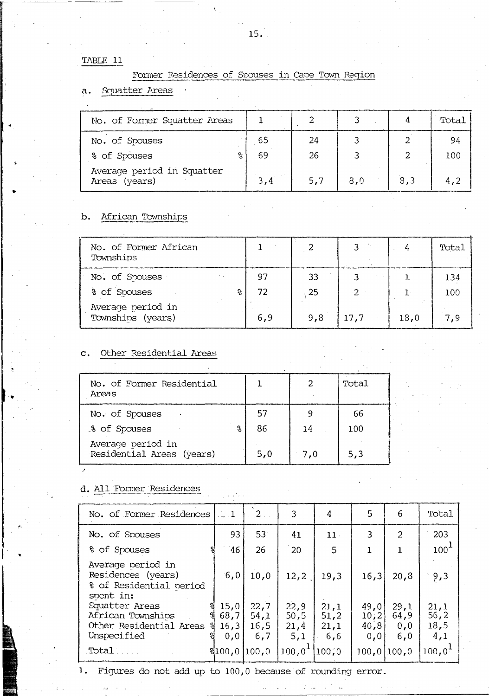# Former Residences of Spouses in Cape Town Region

#### Squatter Areas  $a.$

| No. of Former Squatter Areas                |          |          |     |     | Total     |
|---------------------------------------------|----------|----------|-----|-----|-----------|
| No. of Spouses<br>% of Spouses<br>욲         | 65<br>69 | 24<br>26 |     |     | 94<br>100 |
| Average period in Squatter<br>Areas (years) | 3,4      | 5,7      | 8,0 | 3,3 | 4,2       |

#### African Townships b.

| No. of Former African<br>Townships     |      |     |      |      | Total |
|----------------------------------------|------|-----|------|------|-------|
| No. of Spouses                         | 97   | 33  |      |      | 134   |
| % of Spouses<br>နွ                     | 72   | 25  | -2   |      | 100   |
| Average period in<br>Townships (years) | 6, 9 | 9,8 | 17,7 | 18,0 | 7,9   |

#### Other Residential Areas  $\mathbf{c}$ .

| No. of Former Residential<br>Areas             |     |     | Total            |
|------------------------------------------------|-----|-----|------------------|
| No. of Spouses                                 | 57  |     | 66               |
| & of Spouses<br>ዱ                              | 86  | 14  | 100 <sub>1</sub> |
| Average period in<br>Residential Areas (years) | 5,0 | 7.0 | 5.3              |

d. All Former Residences

| No. of Former Residences                                                            | $\pm 1$                     | $\pm 2$                     | 3.                           | $\sqrt{4}$                  | 5                            | 6                          | Total                        |
|-------------------------------------------------------------------------------------|-----------------------------|-----------------------------|------------------------------|-----------------------------|------------------------------|----------------------------|------------------------------|
| No. of Spouses                                                                      | 93                          | 53 <sup>°</sup>             | 41                           | 11 <sub>1</sub>             | 3                            | $\overline{2}$             | 203                          |
| <sup>8</sup> of Spouses                                                             | 46                          | 26                          | 20                           | 5                           |                              |                            | 100 <sup>°</sup>             |
| Average period in<br>Residences (years)<br>% of Residential period<br>spent in:     | 6,0                         | 10,0                        | 12,2                         | 19,3                        | 16,3                         | 20,8                       | 9,3                          |
| Squatter Areas<br>African Townships<br>Other Residential Areas<br>ျာ<br>Unspecified | 15,0<br>68,7<br>16,3<br>0,0 | 22,7<br>54,1<br>16,5<br>6,7 | 22,9<br>50, 5<br>21,4<br>5,1 | 21,1<br>51,2<br>21,1<br>6,6 | 49,0'<br>10,2<br>40,8<br>0,0 | 29,1<br>64,9<br>0,0<br>6,0 | 21,1<br>56, 2<br>18,5<br>4,1 |
| <b>Total</b>                                                                        | $$100, 0$ $100, 0$          |                             | 100,0 <sup>1</sup>           | 100,0                       | 100,0                        | 100,0                      | $100,0^{4}$                  |

Figures do not add up to  $100,0$  because of rounding error.  $1\cdot$ 

15.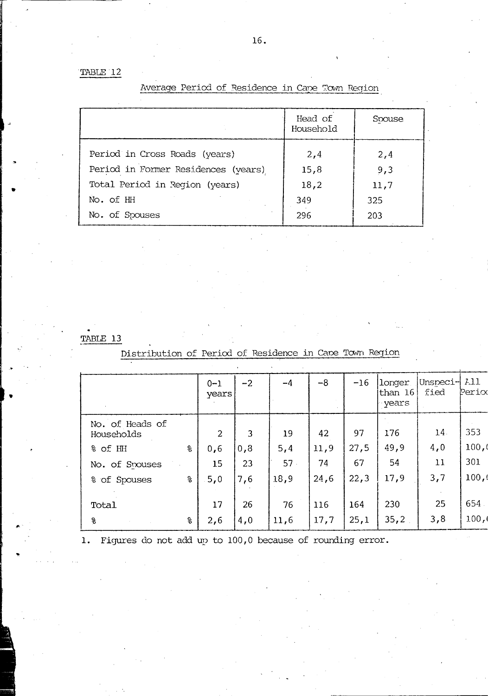Average Period of Residence in Cape Town Region

|                                     | Head of<br>Household | Spouse |
|-------------------------------------|----------------------|--------|
| Period in Cross Roads (years)       | 2,4                  | 2,4    |
| Period in Former Residences (years) | 15,8                 | 9,3    |
| Total Period in Region (years)      | 18,2                 | 11,7   |
| No. of HH                           | 349                  | 325    |
| No. of Spouses                      | 296                  | 203    |

# TABLE 13

Distribution of Period of Residence in Cape Town Region

|                               |    | $0 - 1$<br>years | $-2$ | $-4$ | $-8$ | $-16$ | longer<br>than 16<br>years | Unspeci-<br>fied | L11<br>Period |
|-------------------------------|----|------------------|------|------|------|-------|----------------------------|------------------|---------------|
| No. of Heads of<br>Households |    | $\overline{2}$   | 3    | 19   | 42   | 97    | 176                        | 14               | 353           |
| % of HH                       | န္ | 0,6              | 0, 3 | 5,4  | 11,9 | 27,5  | 49,9                       | 4,0              | 100,0         |
| No. of Spouses                |    | 15               | 23   | 57.  | 74   | 67    | 54                         | 11               | 301           |
| % of Spouses                  | န္ | 5,0              | 7,6  | 18,9 | 24,6 | 22,3  | 17,9                       | 3,7              | 100, (        |
|                               |    |                  |      |      |      |       |                            |                  |               |
| Total                         |    | 17               | 26   | 76   | 116  | 164   | 230                        | 25               | 654           |
| န္                            | နွ | 2,6              | 4,0  | 11,6 | 17,7 | 25,1  | $35, 2$ .                  | 3,8              | 100,0         |

1. Figures do not add up to 100,0 because of rounding error.

16.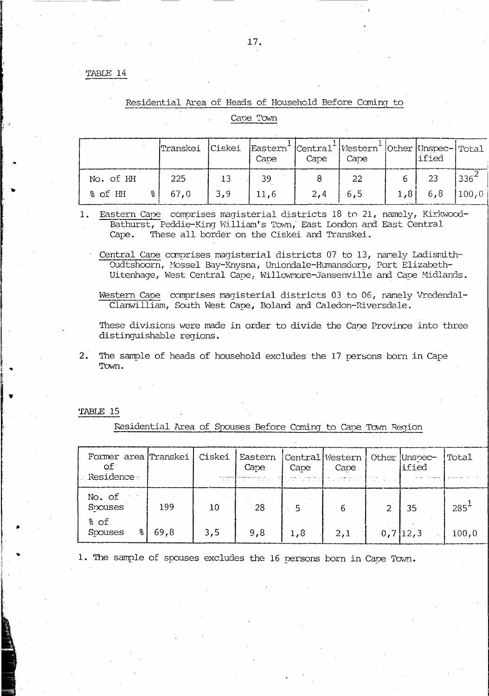|           | Transkei | Ciskei | Cape | Cape | Eastern   Central   Western   Other   Unspec-   Total<br>Cape | lified |                  |
|-----------|----------|--------|------|------|---------------------------------------------------------------|--------|------------------|
| No. of HH | 225      | 13     | 39   |      | 22                                                            | 23     | 336 <sup>2</sup> |
| 8 of HH   | 67,0     | 3,9    | 11,6 | 2,4  | 6, 5                                                          | 6, 8   | 100,0            |

Residential Area of Heads of Household Before Coming to

Cape Town

Eastern Cape comprises magisterial districts 18 to 21, namely, Kirkwood- $1.$ Bathurst, Peddie-King William's Town, East London and East Central Cape. These all border on the Ciskei and Transkei.

Central Cape comprises magisterial districts 07 to 13, namely Ladismith-Oudtshoorn, Mossel Bay-Knysna, Uniondale-Humansdorp, Port Elizabeth-Uitenhage, West Central Cape, Willowmore-Jansenville and Cape Midlands.

Western Cape comprises magisterial districts 03 to 06, namely Vredendal-Clanwilliam, South West Cape, Boland and Caledon-Riversdale.

These divisions were made in order to divide the Cape Province into three distinguishable regions.

 $2.$ The sample of heads of household excludes the 17 persons born in Cape Town.

TABLE 15

Residential Area of Spouses Before Coming to Cape Town Region

| Former area Transkei<br>$\mathsf{of}$<br>Residence : |      | Ciskei | , Eastern<br>Cape | Cape | Central Western<br>Cape | Other Unspec-<br>lified | Total               |
|------------------------------------------------------|------|--------|-------------------|------|-------------------------|-------------------------|---------------------|
| No. of<br>Spouses                                    | 199  | 10     | 28                | 5    |                         | 35                      | $285^{\frac{1}{2}}$ |
| 8 of<br>Spouses<br>ႜ                                 | 69,8 | 3,5    | 9,8               | 1,8  | 2,1                     | 0,7 12,3                | 100,0               |

1. The sample of spouses excludes the 16 persons born in Cape Town.